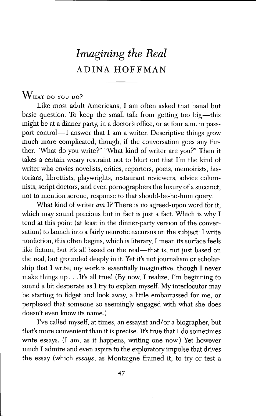# *Imagining the Real* ADINA HOFFMAN

# $W<sub>HAT DO</sub>$  you do?

Like most adult Americans, I am often asked that banal but basic question. To keep the small talk from getting too big—this might be at a dinner party, in a doctor's office, or at four a.m. in passport control—I answer that I am a writer. Descriptive things grow much more complicated, though, if the conversation goes any further. "What do you write?" "What kind of writer are you?" Then it takes a certain weary restraint not to blurt out that I'm the kind of writer who envies novelists, critics, reporters, poets, memoirists, historians, fibrettists, playwrights, restaurant reviewers, advice columnists, script doctors, and even pomographers the luxury of a succinct, not to mention serene, response to that should-be-ho-hum query.

What kind of writer *am* I? There is no agreed-upon word for it, which may sound precious but in fact is just a fact. Which is why I tend at this point (at least in the dinner-party version of the conversation) to launch into a fairly neurotic excursus on the subject: I write nonfiction, this often begins, which is fiterary, I mean its surface feels like fiction, but it's all based on the real—that is, not just based on the real, but grounded deeply in it. Yet it's not journalism or scholarship that I write; my work is essentially imaginative, though I never make things up.  $\ldots$  It's all true! (By now, I realize, I'm beginning to sound a bit desperate as I try to explain myself. My interlocutor may be starting to fidget and look away, a little embarrassed for me, or perplexed that someone so seemingly engaged with what she does doesn't even know its name.)

I've called myself, at times, an essayist and/or a biographer, but that's more convenient than it is precise. It's true that I do sometimes write essays. (I am, as it happens, writing one now.) Yet however much I admire and even aspire to the exploratory impulse that drives the essay (which *essays,* as Montaigne framed it, to try or test a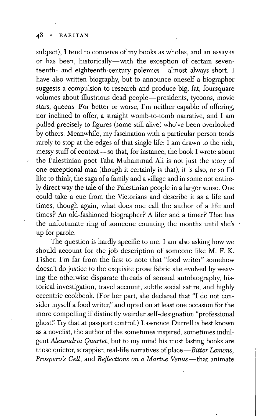subject), I tend to conceive of my books as wholes, and an essay is or has been, historically—with the exception of certain seventeenth- and eighteenth-century polemics—almost always short. I have also written biography, but to announce oneself a biographer suggests a compulsion to research and produce big, fat, foursquare volumes about illustrious dead people—presidents, tycoons, movie stars, queens. Eor better or worse, I'm neither capable of offering, nor inclined to offer, a straight womb-to-tomb narrative, and I am pulled precisely to figures (some still alive) who've been overlooked by others. Meanwhile, my fascination with a particular person tends rarely to stop at the edges of that single life: I am drawn to the rich, messy stuff of context—so that, for instance, the book I wrote about the Palestinian poet Taha Muhammad Ali is not just the story of one exceptional man (though it certainly is that), it is also, or so I'd like to think, the saga of a family and a village and in some not entirely direct way the tale of the Palestinian people in a larger sense. One could take a cue from the Victorians and describe it as a life and times, though again, what does one call the author of a life and times? An old-fashioned biographer? A lifer and a timer? That has the unfortunate ring of someone counting the months until she's up for parole.

The question is hardly specific to me. I am also asking how we should account for the job description of someone like M. E. K. Eisher. I'm far from the first to note that "food writer" somehow doesn't do justice to the exquisite prose fabric she evolved by weaving the otherwise disparate threads of sensual autobiography, historical investigation, travel account, subtle social satire, and highly eccentric cookbook. (Eor her part, she declared that "I do not consider myself a food writer," and opted on at least one occasion for the more compelling if distinctly weirder self-designation "professional ghost.'' Try that at passport control.) Lawrence Durrell is best known as a novelist, the author of the sometimes inspired, sometimes indulgent *Alexandria Quartet,* but to my mind his most lasting books are those quieter, scrappier, real-life narratives of place—*Bitter Lemons*, *Prospero's Cell,* and *Reflections on a Marine Venus*—that animate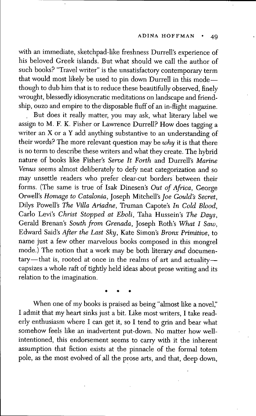with an immediate, sketchpad-like freshness Durrell's experience of his beloved Greek islands. But what should we call the author of such books? "Travel writer" is the unsatisfactory contemporary term that would most likely be used to pin down Durrell in this modethough to dub him that is to reduce these beautifully observed, finely wrought, blessedly idiosyncratic meditations on landscape and friendship, ouzo and empire to the disposable fiuff of an in-flight magazine.

But does it really matter, you may ask, what literary label we assign to M. F. K. Fisher or Lawrence Durrell? How does tagging a writer an X or a Y add anything substantive to an understanding of their words? The more relevant question may be *why* it is that there is no term to describe these writers and what they create. The hybrid nature of books fike Fisher's *Serve It Forth* and Durrefl's *Marine* Venus seems almost deliberately to defy neat categorization and so may unsettle readers who prefer clear-cut borders between their forms. (The same is tme of Isak Dinesen's *Out of Africa,* George Orwefl's *Homage to Catalonia,* Joseph Mitchefl's *Joe Gould's Secret,* Dilys Powell's The Villa Ariadne, Truman Capote's In Cold Blood, Carlo Levi's *Christ Stopped at Eboli,* Taha Hussein's *The Days,* Gerald Brenan's *South from Grenada,* Joseph Roth's *What I Saw,* Edward Said's *Afier the Last Sky,* Kate Simon's *Bronx Primitive,* to name just a few other marvelous books composed in this mongrel mode.) The notion that a work may be both literary *and* documentary—that is, rooted at once in the realms of art and actuality capsizes a whole raft of tightly held ideas about prose writing and its relation to the imagination.

When one of my books is praised as being "almost like a novel," I admit that my heart sinks just a bit. Like most writers, I take readerly enthusiasm where I can get it, so I tend to grin and bear what somehow feels like an inadvertent put-down. No matter how wellintentioned, this endorsement seems to carry with it the inherent assumption that fiction exists at the pinnacle of the formal totem pole, as the most evolved of all the prose arts, and that, deep down,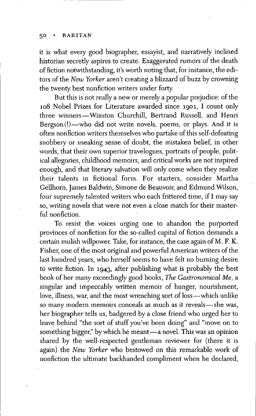#### 5O • RARITAN

it is what every good biographer, essayist, and narratively inclined historian secretly aspires to create. Exaggerated rumors of the death of fiction notwithstanding, it's worth noting tliat, for instance, the editors of the *New Yorker* aren't creating a blizzard of buzz by crowning the twenty best nonfiction writers under forty.

But this is not really a new or merely a popular prejudice: of the 108 Nobel Prizes for Literature awarded since 1901, I count only three winners—Winston Churchill, Bertrand Russell, and Henri Bergson(!)—who did not write novels, poems, or plays. And it is often nonfiction writers themselves who partake of this self-defeating snobbery or sneaking sense of doubt, the mistaken belief, in other words, that their own superior travelogues, portraits of people, political aflegories, childhood memoirs, and critical works are not inspired enough, and that literary salvation will only come when they realize their talents in fictional form. Eor starters, consider Martha Gellhorn, James Baldwin, Simone de Beauvoir, and Edmund Wilson, four supremely talented writers who each frittered time, if I may say so, writing novels that were not even a close match for their masterful nonfiction.

To resist the voices urging one to abandon the purported provinces of nonfiction for the so-called capital of fiction demands a certain mulish willpower. Take, for instance, the case again of M. F. K. Eisher, one of the most original and powerful American writers of the last hundred years, who herself seems to have felt no burning desire to write fiction. In 1943, after publishing what is probably the best book of her many exceedingly good books. *The Gastronomical Me,* a singular and impeccably written memoir of hunger, nourishment, love, illness, war, and the most wrenching sort of loss—which unlike so many modem memoirs conceals as much as it reveals—she was, her biographer tells us, badgered by a close friend who urged her to leave behind "the sort of stuff you've been doing" and "move on to something bigger," by which he meant—a novel. This was an opinion shared by the well-respected gentleman reviewer for (there it is again) the *New Yorker* who bestowed on this remarkable work of nonfiction the ultimate backhanded compliment when he declared.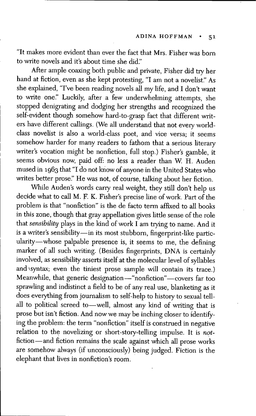"It makes more evident than ever the fact that Mrs. Eisher was born to write novels and it's about time she did."

After ample coaxing both public and private, Fisher did try her hand at fiction, even as she kept protesting, "I am not a novelist." As she explained, "I've been reading novels all my life, and I don't want to write one." Luckily, after a few underwhelming attempts, she stopped denigrating and dodging her strengths and recognized the self-evident though somehow hard-to-grasp fact that different writers have different callings. (We all understand that not every worldclass novelist is also a world-class poet, and vice versa; it seems somehow harder for many readers to fathom that a serious literary writer's vocation might be nonfiction, full stop.) Fisher's gamble, it seems obvious now, paid off: no less a reader than W. H. Auden mused in 1963 that "I do not know of anyone in the United States who writes better prose." He was not, of course, talking about her fiction.

While Auden's words carry real weight, they still don't help us decide what to call M. F. K. Fisher's precise line of work. Part of the problem is that "nonfiction" is the de facto term affixed to all books in this zone, though that gray appellation gives little sense of the role that *sensibility* plays in the kind of work I am trying to name. And it is a writer's sensibility—in its most stubborn, fingerprint-like particularity—whose palpable presence is, it seems to me, the defining marker of all such writing. (Besides fingerprints, DNA is certainly involved, as sensibility asserts itself at the molecular level of syllables and syntax; even the tiniest prose sample will contain its trace.) Meanwhile, that generic designation—"nonfiction"—covers far too sprawling and indistinct a field to be of any real use, blanketing as it does everything from journalism to self-help to history to sexual tellall to political screed to—well, almost any kind of writing that is prose but isn't fiction. And now we may be inching closer to identifying the problem: the term "nonfiction" itself is constmed in negative relation to the novelizing or short-story-telling impulse. It is notfiction—and fiction remains the scale against which all prose works are somehow always (if unconsciously) being judged. Eiction is the elephant that lives in nonfiction's room.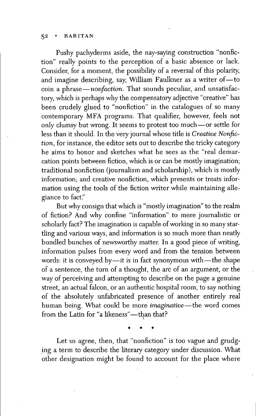Pushy pachyderms aside, the nay-saying construction "nonfiction" really points to the perception of a basic absence or lack. Consider, for a moment, the possibility of a reversal of this polarity, and imagine describing, say, William Faulkner as a writer of—to coin a phrase—*nonfaction.* That sounds peculiar, and unsatisfactory, which is perhaps why the compensatory adjective "creative" has been crudely glued to "nonfiction" in the catalogues of so many contemporary MFA programs. That qualifier, however, feels not only clumsy but wrong. It seems to protest too much—or settle for less than it should. In the very journal whose title is *Creative Nonfiction,* for instance, the editor sets out to describe the tricky category he aims to honor and sketches what he sees as the "real demarcation points between fiction, which is or can be mostly imagination; traditional nonfiction (journalism and scholarship), which is mostly information; and creative nonfiction, which presents or treats information using the tools of the fiction writer while maintaining allegiance to fact."

But why consign that which is "mostly imagination" to the realm of fiction? And why confine "information" to mere journalistic or scholarly fact? The imagination is capable of working in so many startling and various ways, and information is so much more than neatly bundled bunches of newsworthy matter. In a good piece of writing, information pulses from every word and from the tension between words: it is conveyed by—it is in fact synonymous with—the shape of a sentence, the turn of a thought, the arc of an argument, or the way of perceiving and attempting to describe on the page a genuine street, an actual falcon, or an authentic hospital room, to say nothing of the absolutely unfabricated presence of another entirely real human being. What could be more *imaginative*—the word comes from the Latin for "a likeness"—than that?

Let us agree, then, that "nonfiction" is too vague and grudging a term to describe the literary category under discussion. What other designation might be found to account for the place where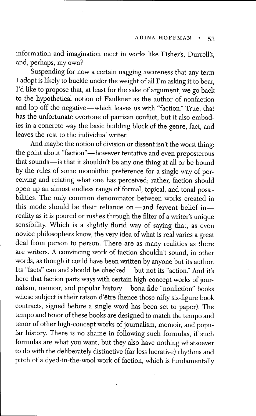information and imagination meet in works like Fisher's, Durrell's, and, perhaps, my own?

Suspending for now a certain nagging awareness that any term I adopt is likely to buckle under the weight of all I'm asking it to bear, I'd like to propose that, at least for the sake of argument, we go back to the hypothetical notion of Eaulkner as the author of nonfaction and lop off the negative—which leaves us with "faction." Tme, that has the unfortunate overtone of partisan conflict, but it also embodies in a concrete way the basic building block of the genre, fact, and leaves the rest to the individual writer.

And maybe the notion of division or dissent isn't the worst thing: the point about "faction"—however tentative and even preposterous that sounds—is that it shouldn't be any one thing at all or be bound by the rules of some monolithic preference for a single way of perceiving and relating what one has perceived; rather, faction should open up an almost endless range of formal, topical, and tonal possibilities. The only common denominator between works created in this mode should be their reliance on—and fervent belief in reality as it is poured or rushes through the filter of a writer's unique sensibility. Which is a slightly florid way of saying that, as even novice philosophers know, the very idea of what is real varies a great deal from person to person. There are as many realities as there are writers. A convincing work of faction shouldn't sound, in other words, as though it could have been written by anyone but its author. Its "facts" can and should be checked—but not its "action." And it's here that faction parts ways with certain high-concept works of journalism, memoir, and popular history-bona fide "nonfiction" books whose subject is their raison d'être (hence those nifty six-figure book contracts, signed before a single word has been set to paper). The tempo and tenor of these books are designed to match the tempo and tenor of other high-concept works of journalism, memoir, and popular history. There is no shame in following such formulas, if such formulas are what you want, but they also have nothing whatsoever to do with the deliberately distinctive (far less lucrative) rhythms and pitch of a dyed-in-the-wool work of faction, which is fundamentally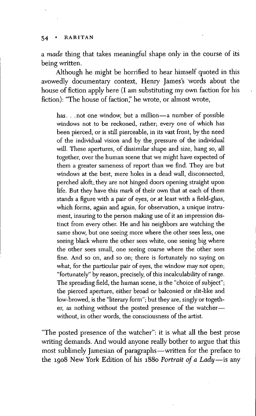a *made* thing that takes meaningful shape only in the course of its being written.

Although he might be horrified to hear himself quoted in this avowedly documentary context, Henry James's words about the house of fiction apply here (I am substituting my own faction for his fiction): "The house of faction," he wrote, or almost wrote,

has. . .not one window, but a million—a number of possible windows not to be reckoned, rather; every one of which has been pierced, or is stiU pierceable, in its vast front, by the need of the individual vision and by the pressure of the individual will. These apertures, of dissimilar shape and size, hang so, all together, over the human scene that we might have expected of them a greater sameness of report than we find. They are but windows at the best, mere holes in a dead wall, disconnected, perched aloft;, they are not hinged doors opening straight upon life. But they have this mark of their own that at each of them stands a figure with a pair of eyes, or at least with a field-glass, which forms, again and again, for observation, a unique instrument, insuring to the person making use of it an impression distinct from every other. He and his neighbors are watching the same show, but one seeing more where the other sees less, one seeing black where the other sees white, one seeing big where the other sees small, one seeing coarse where the other sees fine. And so on, and so on; there is fortunately no saying on what, for the particular pair of eyes, the window may *not* open; "fortunately" by reason, precisely, of this incalculability of range. The spreading field, the human scene, is the "choice of subject"; the pierced aperture, either broad or balconied or slit-like and low-browed, is the "literary form"; but they are, singly or together, as nothing without the posted presence of the watcher without, in other words, the consciousness of the artist.

"The posted presence of the watcher": it is what all the best prose writing demands. And would anyone really bother to argue that this most sublimely Jamesian of paragraphs—written for the preface to the 1908 New York Edition of his 1880 *Portrait of a Lady*—is any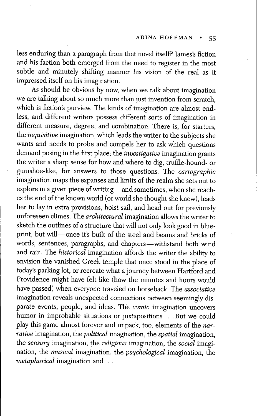less enduring than a paragraph from that novel itself? James's fiction and his faction both emerged from the need to register in the most subtle and minutely shifting manner his vision of the real as it impressed itself on his imagination.

As should be obvious by now, when we talk about imagination we are talking about so much more than just invention from scratch, which is fiction's purview. The kinds of imagination are almost endless, and different writers possess different sorts of imagination in different measure, degree, and combination. There is, for starters, the *inquisitive* imagination, which leads the writer to the subjects she wants and needs to probe and compels her to ask which questions demand posing in the first place; the *investigative* imagination grants the writer a sharp sense for how and where to dig, tmffle-hound- or gumshoe-Hke, for answers to those questions. The *cartographic* imagination maps the expanses and limits of the realm she sets out to explore in a given piece of writing—and sometimes, when she reaches the end of the known world (or world she thought she knew), leads her to lay in extra provisions, hoist sail, and head out for previously unforeseen climes. The *architectural* imagination allows the writer to sketch the outlines of a structure that will not only look good in blueprint, but will—once it's built of the steel and beams and bricks of words, sentences, paragraphs, and chapters—withstand both wind and rain. The *historical* imagination affords the writer the ability to envision the vanished Greek temple that once stood in the place of today's parking lot, or recreate what a journey between Hartford and Providence might have felt like (how the minutes and hours would have passed) when everyone traveled on horseback. The *associative* imagination reveals unexpected connections between seemingly disparate events, people, and ideas. The *comic* imagination uncovers humor in improbable situations or juxtapositions. . . But we could play this game almost forever and unpack, too, elements of the *narrative* imagination, the *political* imagination, the *spatial* imagination, the *sensory* imagination, the *religious* imagination, the *social* imagination, the *musical* imagination, the *psychological* imagination, the *metaphorical* imagination and. . .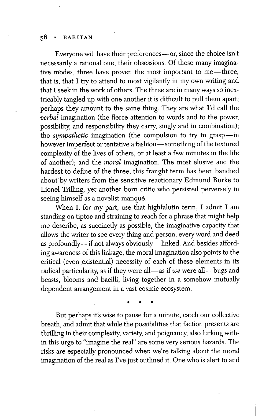Everyone will have their preferences—or, since the choice isn't necessarily a rational one, their obsessions. Of these many imaginative modes, three have proven the most important to me—three, that is, that I try to attend to most vigilantly in my own writing and that I seek in the work of others. The three are in many ways so inextricably tangled up with one another it is difficult to pull them apart; perhaps they amount to the same thing. They are what I'd call the *verbal* imagination (the fierce attention to words and to the power, possibility, and responsibility they carry, singly and in combination); the *sympathetic* imagination (the compulsion to try to grasp—in however imperfect or tentative a fashion—something of the textured complexity of the lives of others, or at least a few minutes in the life of another); and the *moral* imagination. The most elusive and the hardest to define of the three, this fraught term has been bandied about by writers from the sensitive reactionary Edmund Burke to Lionel Trilling, yet another born critic who persisted perversely in seeing himself as a novelist manqué.

When I, for my part, use that highfalutin term, I admit I am standing on tiptoe and straining to reach for a phrase that might help me describe, as succinctly as possible, the imaginative capacity that allows the writer to see every thing and person, every word and deed as profoundly—if not always obviously—linked. And besides affording awareness of this linkage, the moral imagination also points to the critical (even existential) necessity of each of these elements in its radical particularity, as if they were all—as if we were all—bugs and beasts, blooms and bacilli, living together in a somehow mutually dependent arrangement in a vast cosmic ecosystem.

But perhaps it's wise to pause for a minute, catch our collective breath, and admit that while the possibilities that faction presents are thrilling in their complexity, variety, and poignancy, also lurking within this urge to "imagine the real" are some very serious hazards. The risks are especially pronounced when we're talking about the moral imagination of the real as I've just outlined it. One who is alert to and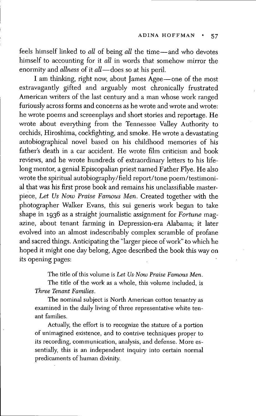feels himself linked to all of being all the time-and who devotes himself to accounting for it *all* in words that somehow mirror the enormity and *allness* of it *all*—does so at his peril.

I am thinking, right now, about James Agee—one of the most extravagantly gifted and arguably most chronically frustrated American writers of the last century and a man whose work ranged furiously across forms and concerns as he wrote and wrote and wrote: he wrote poems and screenplays and short stories and reportage. He wrote about everything from the Tennessee Valley Authority to orchids, Hiroshima, cockfighting, and smoke. He wrote a devastating autobiographical novel based on his childhood memories of his father's death in a car accident. He wrote film criticism and book reviews, and he wrote hundreds of extraordinary letters to his lifelong mentor, a genial Episcopalian priest named Father Flye. He also wrote the spiritual autobiography/field report/tone poem/testimonial that was his first prose book and remains his unclassifiable masterpiece. *Let Us Now Praise Famous Men.* Created together with the photographer Walker Evans, this sui generis work began to take shape in 1936 as a straight journalistic assignment for *Fortune* magazine, about tenant farming in Depression-era Alabama; it later evolved into an almost indescribably complex scramble of profane and sacred things. Anticipating the "larger piece of work" to which he hoped it might one day belong, Agee described the book this way on its opening pages:

The title of this volume is *Let Us Now Praise Famous Men.*

The tide of the work as a whole, this volume included, is *Three Tenant Families.*

The nominal subject is North American cotton tenantry as examined in the daily living of three representative white tenant families.

Actually, the effort is to recognize the stature of a portion of unimagined existence, and to contrive techniques proper to its recording, communication, analysis, and defense. More essentially, this is an independent inquiry into certain normal predicaments of human divinity.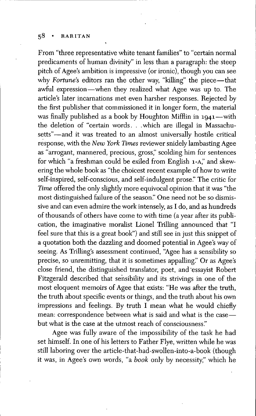From "three representative white tenant families" to "certain normal predicaments of human divinity" in less than a paragraph: the steep pitch of Agee's ambition is impressive (or ironic), though you can see why Fortune's editors ran the other way, "killing" the piece—that awful expression—when they realized what Agee was up to. The article's later incarnations met even harsher responses. Rejected by the first publisher that commissioned it in longer form, the material was finally published as a book by Houghton Mifflin in  $1941$ —with the deletion of "certain words. . .which are illegal in Massachusetts"—and it was treated to an almost universally hostile critical response, with the *New York Times* reviewer snidely lambasting Agee as "arrogant, mannered, precious, gross," scolding him for sentences for which "a freshman could be exiled from English 1-A," and skewering the whole book as "the choicest recent example of how to write self-inspired, self-conscious, and self-indulgent prose." The critic for *Time* offered the only slightly more equivocal opinion that it was "the most distinguished failure of the season." One need not be so dismissive and can even admire the work intensely, as I do, and as hundreds of thousands of others have come to with time (a year after its pubHcation, the imaginative moralist Lionel Trilling announced that "I feel sure that this is a great book") and still see in just this snippet of a quotation both the dazzling and doomed potential in Agee's way of seeing. As Trilling's assessment continued, "Agee has a sensibility so precise, so unremitting, that it is sometimes appalling." Or as Agee's close friend, the distinguished translator, poet, and 'essayist Robert Fitzgerald described that sensibility and its strivings in one of the most eloquent memoirs of Agee that exists: "He was after the tmth, the truth about specific events or things, and the tmth about his own impressions and feelings. By truth  $I$  mean what he would chiefly mean: correspondence between what is said and what is the case but what is the case at the utmost reach of consciousness."

Agee was fully aware of the impossibility of the task he had set himself. In one of his letters to Eather Elye, written while he was still laboring over the article-that-had-swollen-into-a-book (though it was, in Agee's own words, "a *book* only by necessity," which he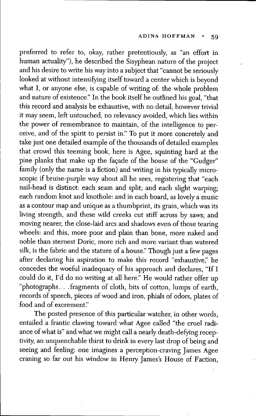preferred to refer to, okay, rather pretentiously, as "an effort in human actuality"), he described the Sisyphean nature of the project and his desire to write his way into a subject that "cannot be seriously looked at without intensifying itself toward a center which is beyond what I, or anyone else, is capable of writing of: the whole problem and nature of existence." In the book itself he outfined his goal, "that this record and analysis be exhaustive, with no detail, however trivial it may seem, left untouched, no relevancy avoided, which lies within the power of remembrance to maintain, of the intelligence to perceive, and of the spirit to persist in." To put it more concretely and take just one detailed example of the thousands of detailed examples that crowd this teeming book, here is Agee, squinting hard at the pine planks that make up the façade of the house of the "Gudger" family (only the name is a fiction) and writing in his typically microscopic if bruise-purple way about all he sees, registering that "each nail-head is distinct: each seam and split; and each slight warping; each random knot and knothole: and in each board, as lovely a music as a contour map and unique as a thumbprint, its grain, which was its living strength, and these wild creeks cut stiff across by saws; and moving nearer, the close-laid arcs and shadows even of those tearing wheels: and this, more poor and plain than bone, more naked and noble than sternest Doric, more rich and more variant than watered silk, is the fabric and the stature of a house." Though just a few pages after declaring his aspiration to make this record "exhaustive," he concedes the woeful inadequacy of his approach and declares, "If I could do it, I'd do no writing at all here." He would rather offer up "photographs. . . fragments of cloth, bits of cotton, lumps of earth, records of speech, pieces of wood and iron, phials of odors, plates of food and of excrement."

The posted presence of this particular watcher, in other words, entailed a frantic clawing toward what Agee called "the cruel radiance of what is" and what we might call a nearly death-defying receptivity, an unquenchable thirst to drink in every last drop of being and seeing and feeling: one imagines a perception-craving James Agee craning so far out his window in Henry James's House of Faction,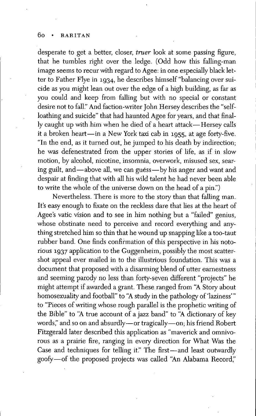#### 6o • RARITAN

desperate to get a better, closer, *truer* look at some passing figure, that he tumbles right over the ledge. (Odd how this fafling-man image seems to recur with regard to Agee: in one especially black letter to Eather Elye in 1934, he describes himself "balancing over suicide as you might lean out over the edge of a high building, as far as you could and keep from falling but with no special or constant desire not to fall." And faction-writer John Hersey describes the "selfloathing and suicide" that had haunted Agee for years, and that finally caught up with him when he died of a heart attack—Hersey calls it a broken heari—in a New York taxi cab in 1955, at age forty-five. "In the end, as it turned out, he jumped to his death by indirection; he was defenestrated from the upper stories of life, as if in slow motion, by alcohol, nicotine, insomnia, overwork, misused sex, searing guilt, and—above all, we can guess—by his anger and want and despair at finding that with all his wild talent he had never been able to write the whole of the universe down on the head of a pin.")

Nevertheless. There is more to the story than that falling man. It's easy enough to fixate on the reckless dare that lies at the heart of Agee's vatic vision and to see in him nothing but a "failed" genius, whose obstinate need to perceive and record everything and anything stretched him so thin that he wound up snapping like a too-taut rubber band. One finds confirmation of this perspective in his notorious 1937 application to the Guggenheim, possibly the most scattershot appeal ever mailed in to the iflustrious foundation. This was a document that proposed with a disarming blend of utter earnestness and seeming parody no less than forty-seven different "projects" he might attempt if awarded a grant. These ranged from "A Story about homosexuality and football" to "A study in the pathology of 'laziness'" to "Pieces of writing whose rough paraflel is the prophetic writing of the Bible" to "A true account of a jazz band" to "A dictionary of key words," and so on and absurdly—or tragically—on; his friend Robert Fitzgerald later described this application as "maverick and omnivorous as a prairie fire, ranging in every direction for What Was the Case and techniques for telling it." The first—and least outwardly goofy—of the proposed projects was called "An Alabama Record,"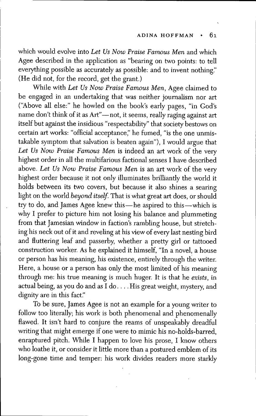which would evolve into *Let Us Now Praise Famous Men* and which Agee described in the application as "bearing on two points: to tell everything possible as accurately as possible: and to invent nothing." (He did not, for the record, get the grant.)

While with *Let Us Now Praise Famous Men,* Agee claimed to be engaged in an undertaking that was neither journalism nor art ("Above all else:" he howled on the book's early pages, "in Cod's name don't think of it as Art"—not, it seems, really raging against art itself but against the insidious "respectability" that society bestows on certain art works: "official acceptance," he fumed, "is the one unmistakable symptom that salvation is beaten again"), I would argue that *Let Us Now Praise Famous Men* is indeed an art work of the very highest order in all the multifarious factional senses I have described above. *Let Us Now Praise Famous Men* is an art work of the very highest order because it not only illuminates brilliantly the world it holds between its two covers, but because it also shines a searing light on the world beyond itself. That is what great art does, or should try to do, and James Agee knew this—he aspired to this—which is why I prefer to picture him not losing his balance and plummeting from that Jamesian window in faction's rambling house, but stretching his neck out of it and reveling at his view of every last nesting bird and fluttering leaf and passerby, whether a pretty girl or tattooed construction worker. As he explained it himself, "In a novel, a house or person has his meaning, his existence, entirely through the writer. Here, a house or a person has only the most limited of his meaning through me: his true meaning is much huger. It is that he *exists,* in actual being, as you do and as I do... . His great weight, mystery, and dignity are in this fact."

To be sure, James Agee is not an example for a young writer to follow too literally; his work is both phenomenal and phenomenally flawed. It isn't hard to conjure the reams of unspeakably dreadful writing that might emerge if one were to mimic his no-holds-barred, enraptured pitch. While I happen to love his prose, I know others who loathe it, or consider it little more than a postured emblem of its long-gone time and temper: his work divides readers more starkly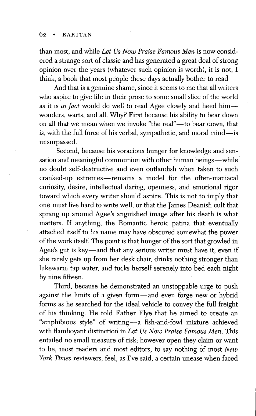than most, and while *Let Us Now Praise Famous Men* is now considered a strange sort of classic and has generated a great deal of strong opinion over the years (whatever such opinion is worth), it is not, I think, a book that most people these days actually bother to read.

And that is a genuine shame, since it seems to me that all writers who aspire to give life in their prose to some small slice of the world as it is *in fact* would do well to read Agee closely and heed him wonders, warts, and all. Why? First because his ability to bear down on all that we mean when we invoke "the real"—to bear down, that is, with the full force of his verbal, sympathetic, and moral mind-is unsurpassed.

Second, because his voracious hunger for knowledge and sensation and meaningful communion with other human beings—while no doubt self-destructive and even outlandish when taken to such cranked-up extremes—remains a model for the often-maniacal curiosity, desire, intellectual daring, openness, and emotional rigor toward which every writer should aspire. This is not to imply that one must live hard to write well, or that the James Deanish cult that sprang up around Agee's anguished image after his death is what matters. If anything, the Romantic heroic patina that eventually attached itself to his name may have obscured somewhat the power of the work itself. The point is that hunger of the sort that growled in Agee's gut is key—and that any serious writer must have it, even if she rarely gets up from her desk chair, drinks nothing stronger than lukewarm tap water, and tucks herself serenely into bed each night by nine fifteen.

Third, because he demonstrated an unstoppable urge to push against the limits of a given form—and even forge new or hybrid forms as he searched for the ideal vehicle to convey the full freight of his thinking. He told Father Flye that he aimed to create an "amphibious style" of writing—a fish-and-fowl mixture achieved with fiamboyant distinction in *Let Us Now Praise Famous Men.* This entailed no small measure of risk; however open they claim or want to be, most readers and most editors, to say nothing of most *New York Times* reviewers, feel, as I've said, a certain unease when faced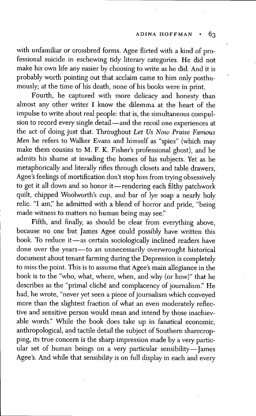with unfamiliar or crossbred forms. Agee flirted with a kind of professional suicide in eschewing tidy literary categories. He did not make his own life any easier by choosing to write as he did. And it is probably worth pointing out that, acclaim came to him only posthumously; at the time of his death, none of his books were in print.

Fourth, he captured with more delicacy and honesty than almost any other writer I know the dilemma at the heart of the impulse to write about real people: that is, the simultaneous compulsion to record every single detail—and the recoil one experiences at the act of doing just that. Throughout *Let Us Now Praise Famous Men* he refers to Walker Evans and himself as "spies" (which may make them cousins to M. E. K. Eisher's professional ghost), and he admits his shame at invading the homes of his subjects. Yet as he metaphorically and literally rifles through closets and table drawers, Agee's feelings of mortification don't stop him from trying obsessively to get it all down and so honor it—rendering each filthy patchwork quilt, chipped Woolworth's cup, and bar of lye soap a nearly holy relic. "I am," he admitted with a blend of horror and pride, "being made witness to matters no human being may see."

Fifth, and finally, as should be clear from everything above, because no one but James Agee could possibly have written this book. To reduce it—as certain sociologically inclined readers have done over the years—to an unnecessarily overwrought historical document about tenant farming during the Depression is completely to miss the point. This is to assume that Agee's main allegiance in the book is to the "who, what, where, when, and why (or how)" that he describes as the "primal cliché and complacency of journalism." He had, he wrote, "never yet seen a piece of journalism which conveyed more than the slightest fraction of what an even moderately reflective and sensitive person would mean and intend by those inachievable words." While the book does take up in fanatical economic, anthropological, and tactile detail the subject of Southem sharecropping, its true concern is the sharp impression made by a very particular set of human beings on a very particular sensibility—James Agee's. And while that sensibility is on full display in each and every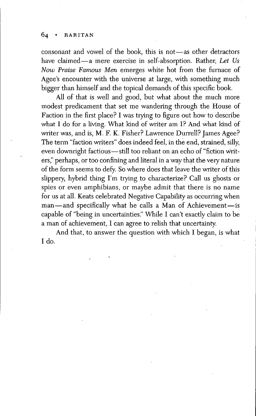consonant and vowel of the book, this is not—as other detractors have claimed—a mere exercise in self-absorption. Rather, *Let Us Now Praise Famous Men* emerges white hot from the fumace of Agee's encounter with the universe at large, with something much bigger than himself and the topical demands of this specific book.

All of that is well and good, but what about the much more modest predicament that set me wandering through the House of Faction in the first place? I was trying to figure out how to describe what I do for a living. What kind of writer am I? And what kind of writer was, and is, M. F. K. Fisher? Lawrence Durrell? James Agee? The term "faction writers" does indeed feel, in the end, strained, silly, even downright factious—still too reliant on an echo of "fiction writers," perhaps, or too confining and fiteral in a way that the very nature of the form seems to defy. So where does that leave the writer of this slippery, hybrid thing I'm trying to characterize? Call us ghosts or spies or even amphibians, or maybe admit that there is no name for us at all. Keats celebrated Negative Capability as occurring when man—and specifically what he calls a Man of Achievement—is capable of "being in uncertainties." While I can't exactly claim to be a man of achievement, I can agree to relish that uncertainty.

And that, to answer the question with which I began, is what Ido.